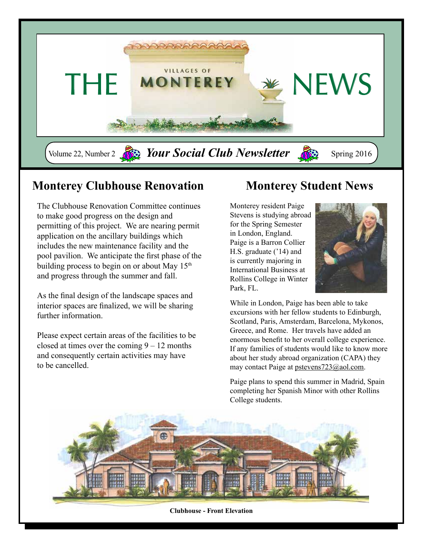

### **Monterey Clubhouse Renovation**

The Clubhouse Renovation Committee continues to make good progress on the design and permitting of this project. We are nearing permit application on the ancillary buildings which includes the new maintenance facility and the pool pavilion. We anticipate the first phase of the building process to begin on or about May  $15<sup>th</sup>$ and progress through the summer and fall.

As the final design of the landscape spaces and interior spaces are finalized, we will be sharing further information.

Please expect certain areas of the facilities to be closed at times over the coming  $9 - 12$  months and consequently certain activities may have to be cancelled.

## **Monterey Student News**

Monterey resident Paige Stevens is studying abroad for the Spring Semester in London, England. Paige is a Barron Collier H.S. graduate ('14) and is currently majoring in International Business at Rollins College in Winter Park, FL.



While in London, Paige has been able to take excursions with her fellow students to Edinburgh, Scotland, Paris, Amsterdam, Barcelona, Mykonos, Greece, and Rome. Her travels have added an enormous benefit to her overall college experience. If any families of students would like to know more about her study abroad organization (CAPA) they may contact Paige at pstevens723@aol.com.

Paige plans to spend this summer in Madrid, Spain completing her Spanish Minor with other Rollins College students.



**Clubhouse - Front Elevation**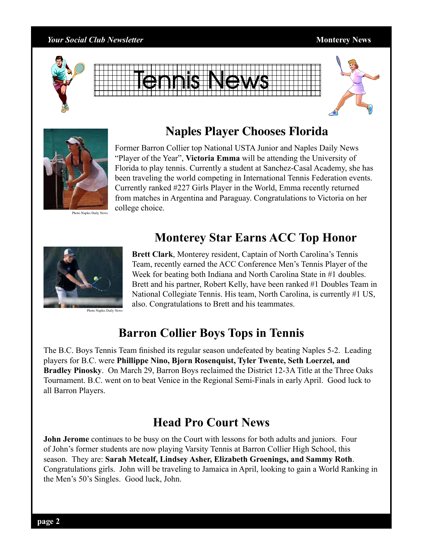#### *Your Social Club Newsletter* **Monterey News**









Photo Naples Daily News

#### **Naples Player Chooses Florida**

Former Barron Collier top National USTA Junior and Naples Daily News "Player of the Year", **Victoria Emma** will be attending the University of Florida to play tennis. Currently a student at Sanchez-Casal Academy, she has been traveling the world competing in International Tennis Federation events. Currently ranked #227 Girls Player in the World, Emma recently returned from matches in Argentina and Paraguay. Congratulations to Victoria on her college choice.

#### **Monterey Star Earns ACC Top Honor**



Photo Naples Daily News

**Brett Clark**, Monterey resident, Captain of North Carolina's Tennis Team, recently earned the ACC Conference Men's Tennis Player of the Week for beating both Indiana and North Carolina State in #1 doubles. Brett and his partner, Robert Kelly, have been ranked #1 Doubles Team in National Collegiate Tennis. His team, North Carolina, is currently #1 US, also. Congratulations to Brett and his teammates.

## **Barron Collier Boys Tops in Tennis**

The B.C. Boys Tennis Team finished its regular season undefeated by beating Naples 5-2. Leading players for B.C. were **Phillippe Nino, Bjorn Rosenquist, Tyler Twente, Seth Loerzel, and Bradley Pinosky**. On March 29, Barron Boys reclaimed the District 12-3A Title at the Three Oaks Tournament. B.C. went on to beat Venice in the Regional Semi-Finals in early April. Good luck to all Barron Players.

### **Head Pro Court News**

**John Jerome** continues to be busy on the Court with lessons for both adults and juniors. Four of John's former students are now playing Varsity Tennis at Barron Collier High School, this season. They are: **Sarah Metcalf, Lindsey Asher, Elizabeth Groenings, and Sammy Roth**. Congratulations girls. John will be traveling to Jamaica in April, looking to gain a World Ranking in the Men's 50's Singles. Good luck, John.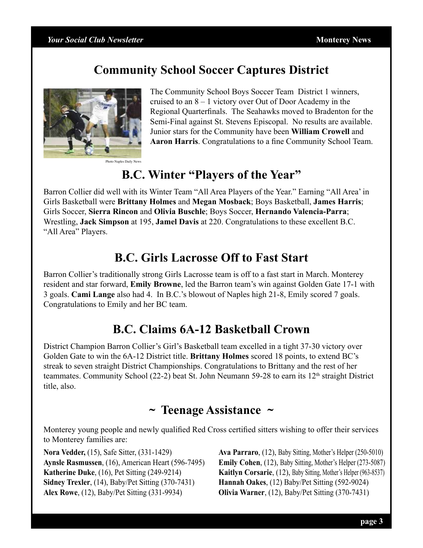### **Community School Soccer Captures District**



The Community School Boys Soccer Team District 1 winners, cruised to an 8 – 1 victory over Out of Door Academy in the Regional Quarterfinals. The Seahawks moved to Bradenton for the Semi-Final against St. Stevens Episcopal. No results are available. Junior stars for the Community have been **William Crowell** and **Aaron Harris**. Congratulations to a fine Community School Team.

### **B.C. Winter "Players of the Year"**

Barron Collier did well with its Winter Team "All Area Players of the Year." Earning "All Area' in Girls Basketball were **Brittany Holmes** and **Megan Mosback**; Boys Basketball, **James Harris**; Girls Soccer, **Sierra Rincon** and **Olivia Buschle**; Boys Soccer, **Hernando Valencia-Parra**; Wrestling, **Jack Simpson** at 195, **Jamel Davis** at 220. Congratulations to these excellent B.C. "All Area" Players.

#### **B.C. Girls Lacrosse Off to Fast Start**

Barron Collier's traditionally strong Girls Lacrosse team is off to a fast start in March. Monterey resident and star forward, **Emily Browne**, led the Barron team's win against Golden Gate 17-1 with 3 goals. **Cami Lange** also had 4. In B.C.'s blowout of Naples high 21-8, Emily scored 7 goals. Congratulations to Emily and her BC team.

## **B.C. Claims 6A-12 Basketball Crown**

District Champion Barron Collier's Girl's Basketball team excelled in a tight 37-30 victory over Golden Gate to win the 6A-12 District title. **Brittany Holmes** scored 18 points, to extend BC's streak to seven straight District Championships. Congratulations to Brittany and the rest of her teammates. Community School (22-2) beat St. John Neumann 59-28 to earn its  $12<sup>th</sup>$  straight District title, also.

#### **~ Teenage Assistance ~**

Monterey young people and newly qualified Red Cross certified sitters wishing to offer their services to Monterey families are:

**Nora Vedder,** (15), Safe Sitter, (331-1429) **Aynsle Rasmussen**, (16), American Heart (596-7495) **Katherine Duke**, (16), Pet Sitting (249-9214) **Sidney Trexler**, (14), Baby/Pet Sitting (370-7431) **Alex Rowe**, (12), Baby/Pet Sitting (331-9934)

**Ava Parraro**, (12), Baby Sitting, Mother's Helper (250-5010) **Emily Cohen**, (12), Baby Sitting, Mother's Helper (273-5087) **Kaitlyn Corsarie**, (12), Baby Sitting, Mother's Helper (963-8537) **Hannah Oakes**, (12) Baby/Pet Sitting (592-9024) **Olivia Warner**, (12), Baby/Pet Sitting (370-7431)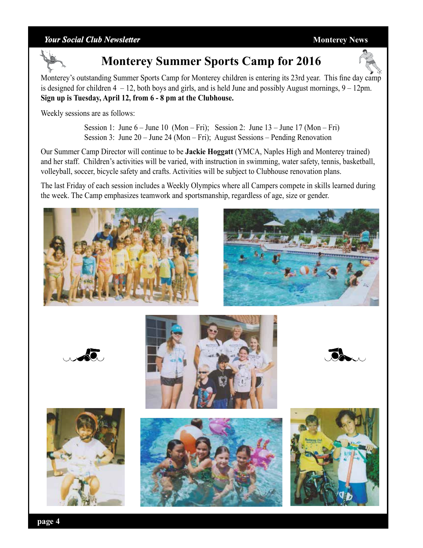#### *Your Social Club Newsletter* **Monterey News**



# **Monterey Summer Sports Camp for 2016**



Monterey's outstanding Summer Sports Camp for Monterey children is entering its 23rd year. This fine day camp is designed for children  $4 - 12$ , both boys and girls, and is held June and possibly August mornings,  $9 - 12$ pm. **Sign up is Tuesday, April 12, from 6 - 8 pm at the Clubhouse.** 

Weekly sessions are as follows:

Session 1: June  $6 -$  June 10 (Mon – Fri); Session 2: June  $13 -$  June  $17$  (Mon – Fri) Session 3: June 20 – June 24 (Mon – Fri); August Sessions – Pending Renovation

Our Summer Camp Director will continue to be **Jackie Hoggatt** (YMCA, Naples High and Monterey trained) and her staff. Children's activities will be varied, with instruction in swimming, water safety, tennis, basketball, volleyball, soccer, bicycle safety and crafts. Activities will be subject to Clubhouse renovation plans.

The last Friday of each session includes a Weekly Olympics where all Campers compete in skills learned during the week. The Camp emphasizes teamwork and sportsmanship, regardless of age, size or gender.













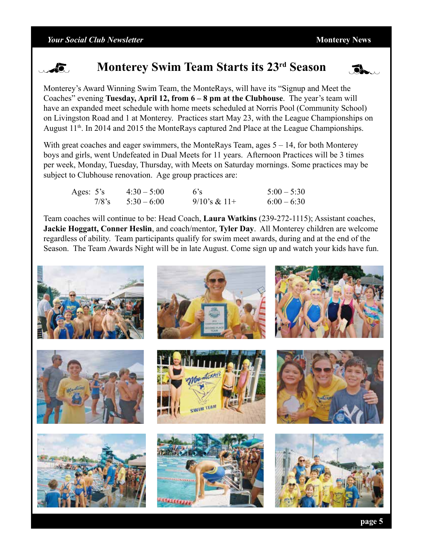

### **Monterey Swim Team Starts its 23rd Season**



Monterey's Award Winning Swim Team, the MonteRays, will have its "Signup and Meet the Coaches" evening **Tuesday, April 12, from 6 – 8 pm at the Clubhouse**. The year's team will have an expanded meet schedule with home meets scheduled at Norris Pool (Community School) on Livingston Road and 1 at Monterey. Practices start May 23, with the League Championships on August 11<sup>th</sup>. In 2014 and 2015 the MonteRays captured 2nd Place at the League Championships.

With great coaches and eager swimmers, the MonteRays Team, ages  $5 - 14$ , for both Monterey boys and girls, went Undefeated in Dual Meets for 11 years. Afternoon Practices will be 3 times per week, Monday, Tuesday, Thursday, with Meets on Saturday mornings. Some practices may be subject to Clubhouse renovation. Age group practices are:

| Ages: $5's$ |          | $4:30 - 5:00$ | $-6$ 's           | $5:00 - 5:30$ |
|-------------|----------|---------------|-------------------|---------------|
|             | $7/8$ 's | $5:30-6:00$   | $9/10$ 's & $11+$ | $6:00 - 6:30$ |

Team coaches will continue to be: Head Coach, **Laura Watkins** (239-272-1115); Assistant coaches, **Jackie Hoggatt, Conner Heslin**, and coach/mentor, **Tyler Day**. All Monterey children are welcome regardless of ability. Team participants qualify for swim meet awards, during and at the end of the Season. The Team Awards Night will be in late August. Come sign up and watch your kids have fun.

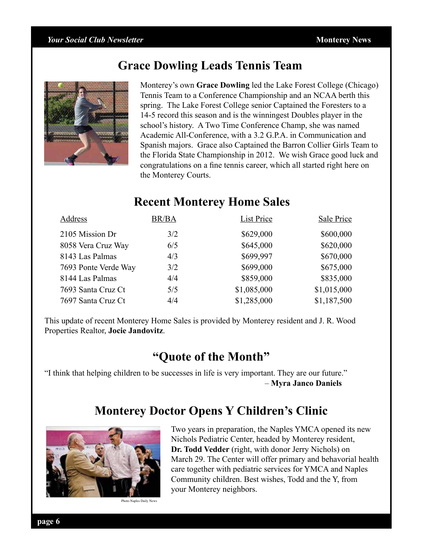#### **Grace Dowling Leads Tennis Team**



Monterey's own **Grace Dowling** led the Lake Forest College (Chicago) Tennis Team to a Conference Championship and an NCAA berth this spring. The Lake Forest College senior Captained the Foresters to a 14-5 record this season and is the winningest Doubles player in the school's history. A Two Time Conference Champ, she was named Academic All-Conference, with a 3.2 G.P.A. in Communication and Spanish majors. Grace also Captained the Barron Collier Girls Team to the Florida State Championship in 2012. We wish Grace good luck and congratulations on a fine tennis career, which all started right here on the Monterey Courts.

### **Recent Monterey Home Sales**

| Address              | <b>BR/BA</b> | <b>List Price</b> | Sale Price  |
|----------------------|--------------|-------------------|-------------|
| 2105 Mission Dr      | 3/2          | \$629,000         | \$600,000   |
| 8058 Vera Cruz Way   | 6/5          | \$645,000         | \$620,000   |
| 8143 Las Palmas      | 4/3          | \$699,997         | \$670,000   |
| 7693 Ponte Verde Way | 3/2          | \$699,000         | \$675,000   |
| 8144 Las Palmas      | 4/4          | \$859,000         | \$835,000   |
| 7693 Santa Cruz Ct   | 5/5          | \$1,085,000       | \$1,015,000 |
| 7697 Santa Cruz Ct   | 4/4          | \$1,285,000       | \$1,187,500 |

This update of recent Monterey Home Sales is provided by Monterey resident and J. R. Wood Properties Realtor, **Jocie Jandovitz**.

#### **"Quote of the Month"**

"I think that helping children to be successes in life is very important. They are our future." – **Myra Janco Daniels**

### **Monterey Doctor Opens Y Children's Clinic**



Two years in preparation, the Naples YMCA opened its new Nichols Pediatric Center, headed by Monterey resident, **Dr. Todd Vedder** (right, with donor Jerry Nichols) on March 29. The Center will offer primary and behavorial health care together with pediatric services for YMCA and Naples Community children. Best wishes, Todd and the Y, from your Monterey neighbors.

Photo Naples Daily News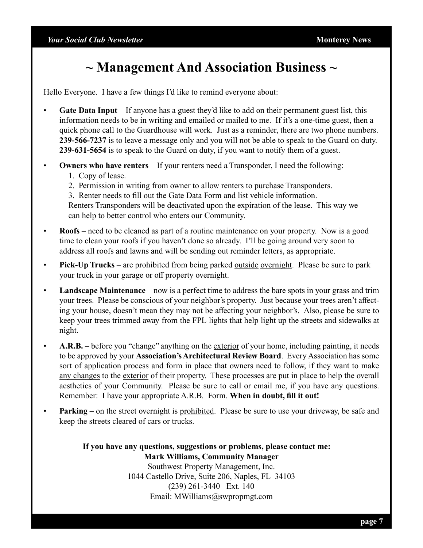# **~ Management And Association Business ~**

Hello Everyone. I have a few things I'd like to remind everyone about:

- **Gate Data Input** If anyone has a guest they'd like to add on their permanent guest list, this information needs to be in writing and emailed or mailed to me. If it's a one-time guest, then a quick phone call to the Guardhouse will work. Just as a reminder, there are two phone numbers. **239-566-7237** is to leave a message only and you will not be able to speak to the Guard on duty. **239-631-5654** is to speak to the Guard on duty, if you want to notify them of a guest.
- **Owners who have renters** If your renters need a Transponder, I need the following:
	- 1. Copy of lease.
	- 2. Permission in writing from owner to allow renters to purchase Transponders.
	- 3. Renter needs to fill out the Gate Data Form and list vehicle information.

 Renters Transponders will be deactivated upon the expiration of the lease. This way we can help to better control who enters our Community.

- **Roofs** need to be cleaned as part of a routine maintenance on your property. Now is a good time to clean your roofs if you haven't done so already. I'll be going around very soon to address all roofs and lawns and will be sending out reminder letters, as appropriate.
- **Pick-Up Trucks** are prohibited from being parked outside overnight. Please be sure to park your truck in your garage or off property overnight.
- **Landscape Maintenance** now is a perfect time to address the bare spots in your grass and trim your trees. Please be conscious of your neighbor's property. Just because your trees aren't affecting your house, doesn't mean they may not be affecting your neighbor's. Also, please be sure to keep your trees trimmed away from the FPL lights that help light up the streets and sidewalks at night.
- **A.R.B.** before you "change" anything on the exterior of your home, including painting, it needs to be approved by your **Association's Architectural Review Board**. Every Association has some sort of application process and form in place that owners need to follow, if they want to make any changes to the exterior of their property. These processes are put in place to help the overall aesthetics of your Community. Please be sure to call or email me, if you have any questions. Remember: I have your appropriate A.R.B. Form. **When in doubt, fill it out!**
- **Parking** on the street overnight is prohibited. Please be sure to use your driveway, be safe and keep the streets cleared of cars or trucks.

**If you have any questions, suggestions or problems, please contact me: Mark Williams, Community Manager** Southwest Property Management, Inc.

1044 Castello Drive, Suite 206, Naples, FL 34103 (239) 261-3440 Ext. 140 Email: MWilliams@swpropmgt.com